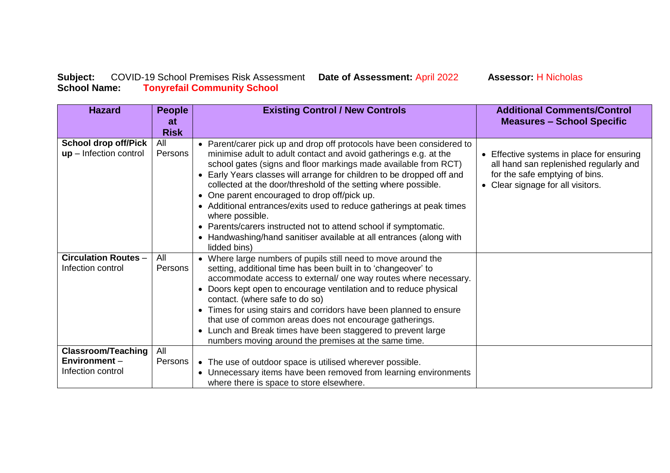## **Subject:** COVID-19 School Premises Risk Assessment **Date of Assessment:** April 2022 **Assessor:** H Nicholas **School Name: Tonyrefail Community School**

**Hazard People at Risk Existing Control / New Controls Additional Comments/Control Measures – School Specific School drop off/Pick up** – Infection control All Persons • Parent/carer pick up and drop off protocols have been considered to minimise adult to adult contact and avoid gatherings e.g. at the school gates (signs and floor markings made available from RCT) Early Years classes will arrange for children to be dropped off and collected at the door/threshold of the setting where possible. • One parent encouraged to drop off/pick up. Additional entrances/exits used to reduce gatherings at peak times where possible. Parents/carers instructed not to attend school if symptomatic. • Handwashing/hand sanitiser available at all entrances (along with lidded bins) • Effective systems in place for ensuring all hand san replenished regularly and for the safe emptying of bins. • Clear signage for all visitors. **Circulation Routes** – Infection control All Persons Where large numbers of pupils still need to move around the setting, additional time has been built in to 'changeover' to accommodate access to external/ one way routes where necessary. • Doors kept open to encourage ventilation and to reduce physical contact. (where safe to do so) Times for using stairs and corridors have been planned to ensure that use of common areas does not encourage gatherings. Lunch and Break times have been staggered to prevent large numbers moving around the premises at the same time. **Classroom/Teaching Environment** – Infection control All Persons  $\vert \bullet \vert$  The use of outdoor space is utilised wherever possible. • Unnecessary items have been removed from learning environments where there is space to store elsewhere.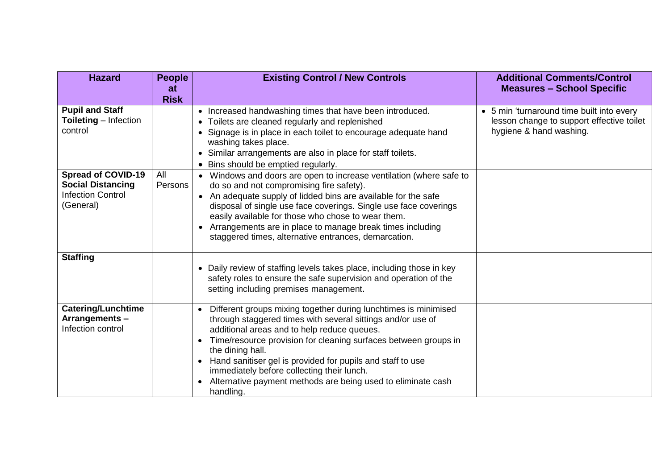| <b>Hazard</b>                                                                                                                                                       | <b>People</b><br>at<br><b>Risk</b> | <b>Existing Control / New Controls</b>                                                                                                                                                                                                                                                                                                                                                                                                                                                                                                                                                                                                                                                                                                           | <b>Additional Comments/Control</b><br><b>Measures - School Specific</b>                                           |
|---------------------------------------------------------------------------------------------------------------------------------------------------------------------|------------------------------------|--------------------------------------------------------------------------------------------------------------------------------------------------------------------------------------------------------------------------------------------------------------------------------------------------------------------------------------------------------------------------------------------------------------------------------------------------------------------------------------------------------------------------------------------------------------------------------------------------------------------------------------------------------------------------------------------------------------------------------------------------|-------------------------------------------------------------------------------------------------------------------|
| <b>Pupil and Staff</b><br><b>Toileting</b> - Infection<br>control<br><b>Spread of COVID-19</b><br><b>Social Distancing</b><br><b>Infection Control</b><br>(General) | All<br>Persons                     | • Increased handwashing times that have been introduced.<br>• Toilets are cleaned regularly and replenished<br>• Signage is in place in each toilet to encourage adequate hand<br>washing takes place.<br>• Similar arrangements are also in place for staff toilets.<br>Bins should be emptied regularly.<br>• Windows and doors are open to increase ventilation (where safe to<br>do so and not compromising fire safety).<br>• An adequate supply of lidded bins are available for the safe<br>disposal of single use face coverings. Single use face coverings<br>easily available for those who chose to wear them.<br>• Arrangements are in place to manage break times including<br>staggered times, alternative entrances, demarcation. | • 5 min 'turnaround time built into every<br>lesson change to support effective toilet<br>hygiene & hand washing. |
| <b>Staffing</b>                                                                                                                                                     |                                    | • Daily review of staffing levels takes place, including those in key<br>safety roles to ensure the safe supervision and operation of the<br>setting including premises management.                                                                                                                                                                                                                                                                                                                                                                                                                                                                                                                                                              |                                                                                                                   |
| <b>Catering/Lunchtime</b><br>Arrangements-<br>Infection control                                                                                                     |                                    | Different groups mixing together during lunchtimes is minimised<br>through staggered times with several sittings and/or use of<br>additional areas and to help reduce queues.<br>Time/resource provision for cleaning surfaces between groups in<br>the dining hall.<br>Hand sanitiser gel is provided for pupils and staff to use<br>immediately before collecting their lunch.<br>Alternative payment methods are being used to eliminate cash<br>handling.                                                                                                                                                                                                                                                                                    |                                                                                                                   |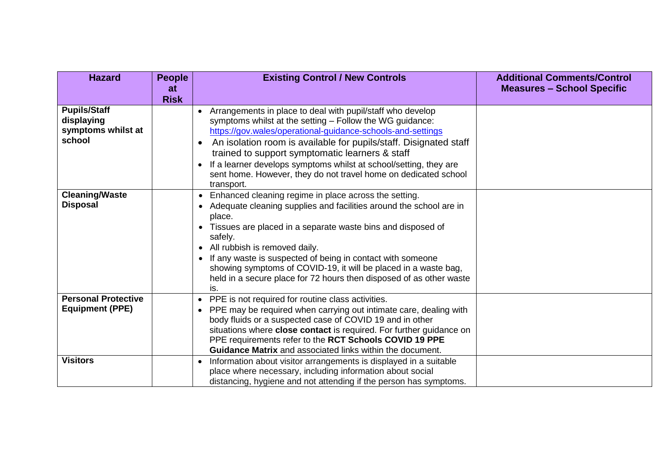| <b>Hazard</b>                                                     | <b>People</b><br>at<br><b>Risk</b> | <b>Existing Control / New Controls</b>                                                                                                                                                                                                                                                                                                                                                                                                                                | <b>Additional Comments/Control</b><br><b>Measures - School Specific</b> |
|-------------------------------------------------------------------|------------------------------------|-----------------------------------------------------------------------------------------------------------------------------------------------------------------------------------------------------------------------------------------------------------------------------------------------------------------------------------------------------------------------------------------------------------------------------------------------------------------------|-------------------------------------------------------------------------|
| <b>Pupils/Staff</b><br>displaying<br>symptoms whilst at<br>school |                                    | • Arrangements in place to deal with pupil/staff who develop<br>symptoms whilst at the setting - Follow the WG guidance:<br>https://gov.wales/operational-guidance-schools-and-settings<br>An isolation room is available for pupils/staff. Disignated staff<br>trained to support symptomatic learners & staff<br>If a learner develops symptoms whilst at school/setting, they are<br>sent home. However, they do not travel home on dedicated school<br>transport. |                                                                         |
| <b>Cleaning/Waste</b><br><b>Disposal</b>                          |                                    | • Enhanced cleaning regime in place across the setting.<br>Adequate cleaning supplies and facilities around the school are in<br>place.<br>Tissues are placed in a separate waste bins and disposed of<br>safely.<br>• All rubbish is removed daily.<br>• If any waste is suspected of being in contact with someone<br>showing symptoms of COVID-19, it will be placed in a waste bag,<br>held in a secure place for 72 hours then disposed of as other waste<br>is. |                                                                         |
| <b>Personal Protective</b><br><b>Equipment (PPE)</b>              |                                    | PPE is not required for routine class activities.<br>PPE may be required when carrying out intimate care, dealing with<br>body fluids or a suspected case of COVID 19 and in other<br>situations where close contact is required. For further guidance on<br>PPE requirements refer to the RCT Schools COVID 19 PPE<br><b>Guidance Matrix</b> and associated links within the document.                                                                               |                                                                         |
| <b>Visitors</b>                                                   |                                    | Information about visitor arrangements is displayed in a suitable<br>place where necessary, including information about social<br>distancing, hygiene and not attending if the person has symptoms.                                                                                                                                                                                                                                                                   |                                                                         |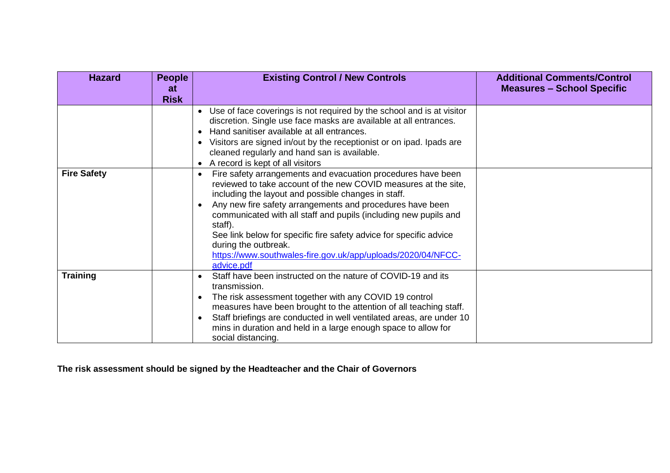| <b>Hazard</b>      | <b>People</b><br>at<br><b>Risk</b> | <b>Existing Control / New Controls</b>                                                                                                                                                                                                                                                                                                                                                                                                                                                                                      | <b>Additional Comments/Control</b><br><b>Measures - School Specific</b> |
|--------------------|------------------------------------|-----------------------------------------------------------------------------------------------------------------------------------------------------------------------------------------------------------------------------------------------------------------------------------------------------------------------------------------------------------------------------------------------------------------------------------------------------------------------------------------------------------------------------|-------------------------------------------------------------------------|
|                    |                                    | Use of face coverings is not required by the school and is at visitor<br>$\bullet$<br>discretion. Single use face masks are available at all entrances.<br>Hand sanitiser available at all entrances.<br>Visitors are signed in/out by the receptionist or on ipad. Ipads are<br>$\bullet$<br>cleaned regularly and hand san is available.<br>• A record is kept of all visitors                                                                                                                                            |                                                                         |
| <b>Fire Safety</b> |                                    | Fire safety arrangements and evacuation procedures have been<br>$\bullet$<br>reviewed to take account of the new COVID measures at the site,<br>including the layout and possible changes in staff.<br>Any new fire safety arrangements and procedures have been<br>communicated with all staff and pupils (including new pupils and<br>staff).<br>See link below for specific fire safety advice for specific advice<br>during the outbreak.<br>https://www.southwales-fire.gov.uk/app/uploads/2020/04/NFCC-<br>advice.pdf |                                                                         |
| <b>Training</b>    |                                    | Staff have been instructed on the nature of COVID-19 and its<br>transmission.<br>The risk assessment together with any COVID 19 control<br>$\bullet$<br>measures have been brought to the attention of all teaching staff.<br>Staff briefings are conducted in well ventilated areas, are under 10<br>$\bullet$<br>mins in duration and held in a large enough space to allow for<br>social distancing.                                                                                                                     |                                                                         |

**The risk assessment should be signed by the Headteacher and the Chair of Governors**